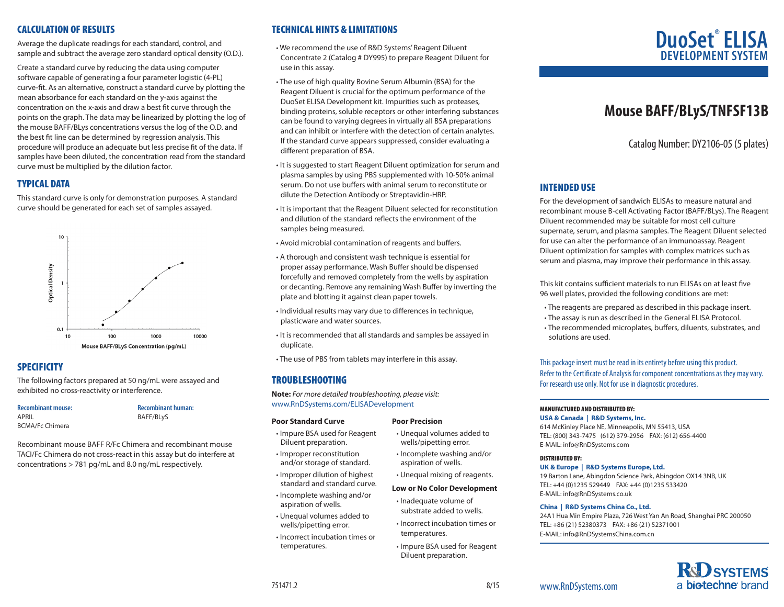## CALCULATION OF RESULTS

Average the duplicate readings for each standard, control, and sample and subtract the average zero standard optical density (O.D.).

Create a standard curve by reducing the data using computer software capable of generating a four parameter logistic (4-PL) curve-fit. As an alternative, construct a standard curve by plotting the mean absorbance for each standard on the y-axis against the concentration on the x-axis and draw a best fit curve through the points on the graph. The data may be linearized by plotting the log of the mouse BAFF/BLys concentrations versus the log of the O.D. and the best fit line can be determined by regression analysis. This procedure will produce an adequate but less precise fit of the data. If samples have been diluted, the concentration read from the standard curve must be multiplied by the dilution factor.

# TYPICAL DATA

This standard curve is only for demonstration purposes. A standard curve should be generated for each set of samples assayed.



# **SPECIFICITY**

The following factors prepared at 50 ng/mL were assayed and exhibited no cross-reactivity or interference.

## **Recombinant mouse:**

APRIL BCMA/Fc Chimera **Recombinant human:** BAFF/BLyS

Recombinant mouse BAFF R/Fc Chimera and recombinant mouse TACI/Fc Chimera do not cross-react in this assay but do interfere at concentrations > 781 pg/mL and 8.0 ng/mL respectively.

# TECHNICAL HINTS & LIMITATIONS

• We recommend the use of R&D Systems' Reagent Diluent Concentrate 2 (Catalog # DY995) to prepare Reagent Diluent for use in this assay.

- The use of high quality Bovine Serum Albumin (BSA) for the Reagent Diluent is crucial for the optimum performance of the DuoSet ELISA Development kit. Impurities such as proteases, binding proteins, soluble receptors or other interfering substances can be found to varying degrees in virtually all BSA preparations and can inhibit or interfere with the detection of certain analytes. If the standard curve appears suppressed, consider evaluating a different preparation of BSA.
- It is suggested to start Reagent Diluent optimization for serum and plasma samples by using PBS supplemented with 10-50% animal serum. Do not use buffers with animal serum to reconstitute or dilute the Detection Antibody or Streptavidin-HRP.
- It is important that the Reagent Diluent selected for reconstitution and dilution of the standard reflects the environment of the samples being measured.
- Avoid microbial contamination of reagents and buffers.
- A thorough and consistent wash technique is essential for proper assay performance. Wash Buffer should be dispensed forcefully and removed completely from the wells by aspiration or decanting. Remove any remaining Wash Buffer by inverting the plate and blotting it against clean paper towels.
- Individual results may vary due to differences in technique, plasticware and water sources.
- It is recommended that all standards and samples be assayed in duplicate.
- The use of PBS from tablets may interfere in this assay.

# TROUBLESHOOTING

**Note:** *For more detailed troubleshooting, please visit:* www.RnDSystems.com/ELISADevelopment

#### **Poor Standard Curve**

- Impure BSA used for Reagent Diluent preparation.
- Improper reconstitution and/or storage of standard.
- Improper dilution of highest standard and standard curve. • Incomplete washing and/or
- aspiration of wells. • Unequal volumes added to
- wells/pipetting error.
- Incorrect incubation times or temperatures.

#### **Poor Precision**

- Unequal volumes added to wells/pipetting error.
- Incomplete washing and/or aspiration of wells.
- Unequal mixing of reagents.
- **Low or No Color Development**
- Inadequate volume of substrate added to wells.
- Incorrect incubation times or temperatures.
	- Impure BSA used for Reagent Diluent preparation.

# **DuoSet**®  **ELISA DEVELOPMENT SYS**

# **Mouse BAFF/BLyS/TNFSF13B**

Catalog Number: DY2106-05 (5 plates)

# INTENDED USE

For the development of sandwich ELISAs to measure natural and recombinant mouse B-cell Activating Factor (BAFF/BLys). The Reagent Diluent recommended may be suitable for most cell culture supernate, serum, and plasma samples. The Reagent Diluent selected for use can alter the performance of an immunoassay. Reagent Diluent optimization for samples with complex matrices such as serum and plasma, may improve their performance in this assay.

This kit contains sufficient materials to run ELISAs on at least five 96 well plates, provided the following conditions are met:

- The reagents are prepared as described in this package insert.
- The assay is run as described in the General ELISA Protocol.
- The recommended microplates, buffers, diluents, substrates, and solutions are used.

This package insert must be read in its entirety before using this product. Refer to the Certificate of Analysis for component concentrations as they may vary. For research use only. Not for use in diagnostic procedures.

## MANUFACTURED AND DISTRIBUTED BY:

**USA & Canada | R&D Systems, Inc.** 

614 McKinley Place NE, Minneapolis, MN 55413, USA TEL: (800) 343-7475 (612) 379-2956 FAX: (612) 656-4400 E-MAIL: info@RnDSystems.com

#### DISTRIBUTED BY:

**UK & Europe | R&D Systems Europe, Ltd.**

19 Barton Lane, Abingdon Science Park, Abingdon OX14 3NB, UK TEL: +44 (0)1235 529449 FAX: +44 (0)1235 533420 E-MAIL: info@RnDSystems.co.uk

#### **China | R&D Systems China Co., Ltd.**

24A1 Hua Min Empire Plaza, 726 West Yan An Road, Shanghai PRC 200050 TEL: +86 (21) 52380373 FAX: +86 (21) 52371001 E-MAIL: info@RnDSystemsChina.com.cn